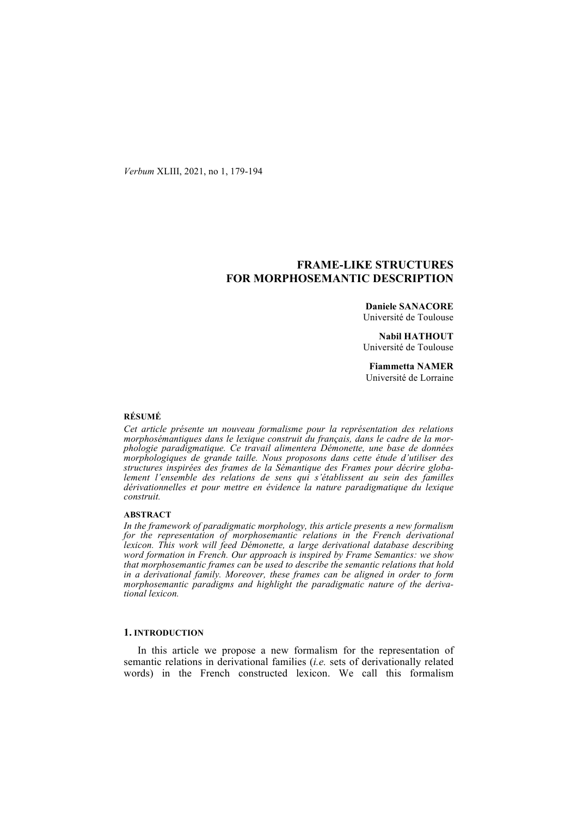*Verbum* XLIII, 2021, no 1, 179-194

# **FRAME-LIKE STRUCTURES FOR MORPHOSEMANTIC DESCRIPTION**

**Daniele SANACORE** Université de Toulouse

**Nabil HATHOUT** Université de Toulouse

**Fiammetta NAMER** Université de Lorraine

#### **RÉSUMÉ**

*Cet article présente un nouveau formalisme pour la représentation des relations morphosémantiques dans le lexique construit du français, dans le cadre de la morphologie paradigmatique. Ce travail alimentera Démonette, une base de données morphologiques de grande taille. Nous proposons dans cette étude d'utiliser des structures inspirées des frames de la Sémantique des Frames pour décrire globa*lement l'ensemble des relations de sens qui s'établissent au sein des familles *dérivationnelles et pour mettre en évidence la nature paradigmatique du lexique construit.*

### **ABSTRACT**

*In the framework of paradigmatic morphology, this article presents a new formalism for the representation of morphosemantic relations in the French derivational lexicon. This work will feed Démonette, a large derivational database describing word formation in French. Our approach is inspired by Frame Semantics: we show that morphosemantic frames can be used to describe the semantic relations that hold in a derivational family. Moreover, these frames can be aligned in order to form morphosemantic paradigms and highlight the paradigmatic nature of the derivational lexicon.*

# **1. INTRODUCTION**

In this article we propose a new formalism for the representation of semantic relations in derivational families (*i.e.* sets of derivationally related words) in the French constructed lexicon. We call this formalism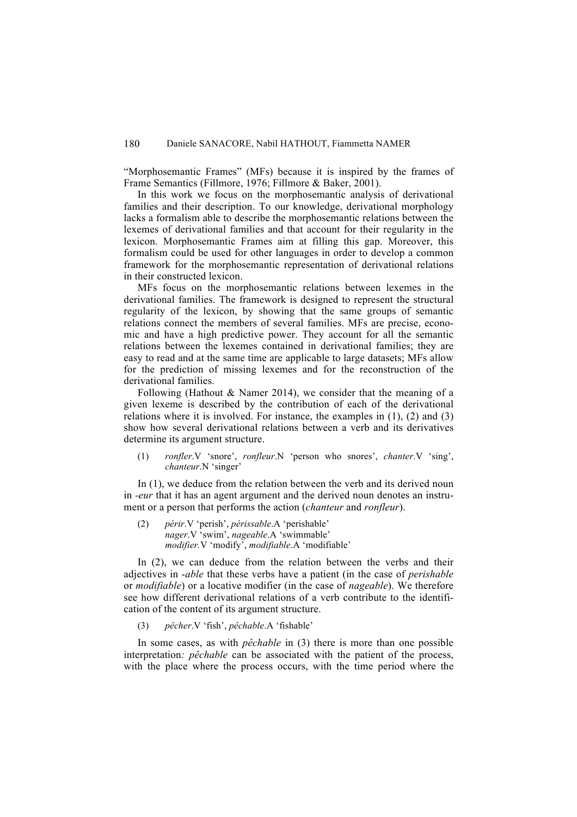"Morphosemantic Frames" (MFs) because it is inspired by the frames of Frame Semantics (Fillmore, 1976; Fillmore & Baker, 2001).

In this work we focus on the morphosemantic analysis of derivational families and their description. To our knowledge, derivational morphology lacks a formalism able to describe the morphosemantic relations between the lexemes of derivational families and that account for their regularity in the lexicon. Morphosemantic Frames aim at filling this gap. Moreover, this formalism could be used for other languages in order to develop a common framework for the morphosemantic representation of derivational relations in their constructed lexicon.

MFs focus on the morphosemantic relations between lexemes in the derivational families. The framework is designed to represent the structural regularity of the lexicon, by showing that the same groups of semantic relations connect the members of several families. MFs are precise, economic and have a high predictive power. They account for all the semantic relations between the lexemes contained in derivational families; they are easy to read and at the same time are applicable to large datasets; MFs allow for the prediction of missing lexemes and for the reconstruction of the derivational families.

Following (Hathout & Namer 2014), we consider that the meaning of a given lexeme is described by the contribution of each of the derivational relations where it is involved. For instance, the examples in (1), (2) and (3) show how several derivational relations between a verb and its derivatives determine its argument structure.

(1) *ronfler*.V 'snore', *ronfleur*.N 'person who snores', *chanter*.V 'sing', *chanteur*.N 'singer'

In (1), we deduce from the relation between the verb and its derived noun in *-eur* that it has an agent argument and the derived noun denotes an instrument or a person that performs the action (*chanteur* and *ronfleur*).

(2) *périr*.V 'perish', *périssable*.A 'perishable' *nager*.V 'swim', *nageable*.A 'swimmable' *modifier.*V 'modify', *modifiable*.A 'modifiable'

In (2), we can deduce from the relation between the verbs and their adjectives in -*able* that these verbs have a patient (in the case of *perishable*  or *modifiable*) or a locative modifier (in the case of *nageable*). We therefore see how different derivational relations of a verb contribute to the identification of the content of its argument structure.

(3) *pêcher*.V 'fish', *pêchable*.A 'fishable'

In some cases, as with *pêchable* in (3) there is more than one possible interpretation*: pêchable* can be associated with the patient of the process, with the place where the process occurs, with the time period where the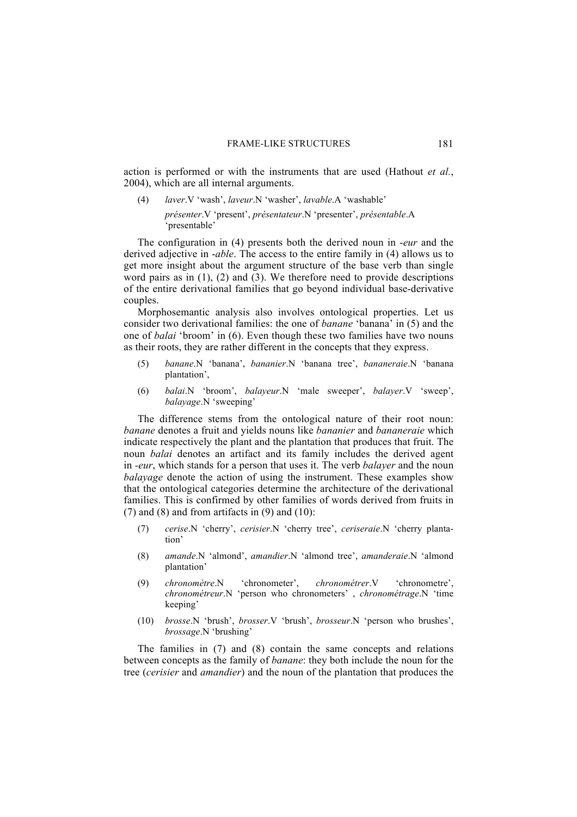action is performed or with the instruments that are used (Hathout *et al.*, 2004), which are all internal arguments.

(4) *laver*.V 'wash', *laveur*.N 'washer', *lavable*.A 'washable' *présenter*.V 'present', *présentateur*.N 'presenter', *présentable*.A 'presentable'

The configuration in (4) presents both the derived noun in -*eur* and the derived adjective in -*able*. The access to the entire family in (4) allows us to get more insight about the argument structure of the base verb than single word pairs as in  $(1)$ ,  $(2)$  and  $(3)$ . We therefore need to provide descriptions of the entire derivational families that go beyond individual base-derivative couples.

Morphosemantic analysis also involves ontological properties. Let us consider two derivational families: the one of *banane* 'banana' in (5) and the one of *balai* 'broom' in (6). Even though these two families have two nouns as their roots, they are rather different in the concepts that they express.

- (5) *banane*.N 'banana', *bananier*.N 'banana tree', *bananeraie*.N 'banana plantation',
- (6) *balai*.N 'broom', *balayeur*.N 'male sweeper', *balayer*.V 'sweep', *balayage*.N 'sweeping'

The difference stems from the ontological nature of their root noun: *banane* denotes a fruit and yields nouns like *bananier* and *bananeraie* which indicate respectively the plant and the plantation that produces that fruit. The noun *balai* denotes an artifact and its family includes the derived agent in *-eur*, which stands for a person that uses it. The verb *balayer* and the noun *balayage* denote the action of using the instrument. These examples show that the ontological categories determine the architecture of the derivational families. This is confirmed by other families of words derived from fruits in  $(7)$  and  $(8)$  and from artifacts in  $(9)$  and  $(10)$ :

- (7) *cerise*.N 'cherry', *cerisier*.N 'cherry tree', *ceriseraie*.N 'cherry plantation'
- (8) *amande*.N 'almond', *amandier*.N 'almond tree', *amanderaie*.N 'almond plantation'
- (9) *chronomètre*.N 'chronometer', *chronométrer*.V 'chronometre', *chronométreur*.N 'person who chronometers' , *chronométrage*.N 'time keeping'
- (10) *brosse*.N 'brush', *brosser*.V 'brush', *brosseur*.N 'person who brushes', *brossage*.N 'brushing'

The families in (7) and (8) contain the same concepts and relations between concepts as the family of *banane*: they both include the noun for the tree (*cerisier* and *amandier*) and the noun of the plantation that produces the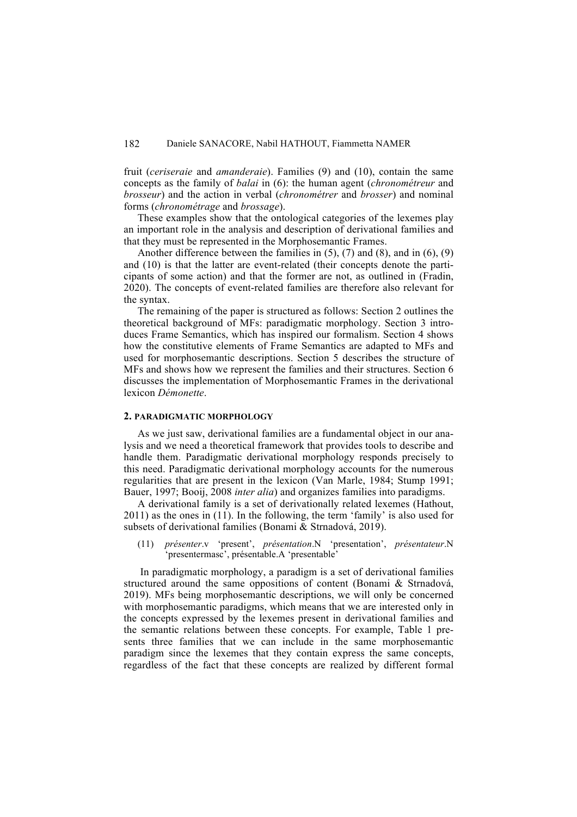fruit (*ceriseraie* and *amanderaie*). Families (9) and (10), contain the same concepts as the family of *balai* in (6): the human agent (*chronométreur* and *brosseur*) and the action in verbal (*chronométrer* and *brosser*) and nominal forms (*chronométrage* and *brossage*).

These examples show that the ontological categories of the lexemes play an important role in the analysis and description of derivational families and that they must be represented in the Morphosemantic Frames.

Another difference between the families in (5), (7) and (8), and in (6), (9) and (10) is that the latter are event-related (their concepts denote the participants of some action) and that the former are not, as outlined in (Fradin, 2020). The concepts of event-related families are therefore also relevant for the syntax.

The remaining of the paper is structured as follows: Section 2 outlines the theoretical background of MFs: paradigmatic morphology. Section 3 introduces Frame Semantics, which has inspired our formalism. Section 4 shows how the constitutive elements of Frame Semantics are adapted to MFs and used for morphosemantic descriptions. Section 5 describes the structure of MFs and shows how we represent the families and their structures. Section 6 discusses the implementation of Morphosemantic Frames in the derivational lexicon *Démonette*.

## **2. PARADIGMATIC MORPHOLOGY**

As we just saw, derivational families are a fundamental object in our analysis and we need a theoretical framework that provides tools to describe and handle them. Paradigmatic derivational morphology responds precisely to this need. Paradigmatic derivational morphology accounts for the numerous regularities that are present in the lexicon (Van Marle, 1984; Stump 1991; Bauer, 1997; Booij, 2008 *inter alia*) and organizes families into paradigms.

A derivational family is a set of derivationally related lexemes (Hathout, 2011) as the ones in (11). In the following, the term 'family' is also used for subsets of derivational families (Bonami & Strnadová, 2019).

(11) *présenter*.v 'present', *présentation*.N 'presentation', *présentateur*.N 'presentermasc', présentable.A 'presentable'

In paradigmatic morphology, a paradigm is a set of derivational families structured around the same oppositions of content (Bonami & Strnadová, 2019). MFs being morphosemantic descriptions, we will only be concerned with morphosemantic paradigms, which means that we are interested only in the concepts expressed by the lexemes present in derivational families and the semantic relations between these concepts. For example, Table 1 presents three families that we can include in the same morphosemantic paradigm since the lexemes that they contain express the same concepts, regardless of the fact that these concepts are realized by different formal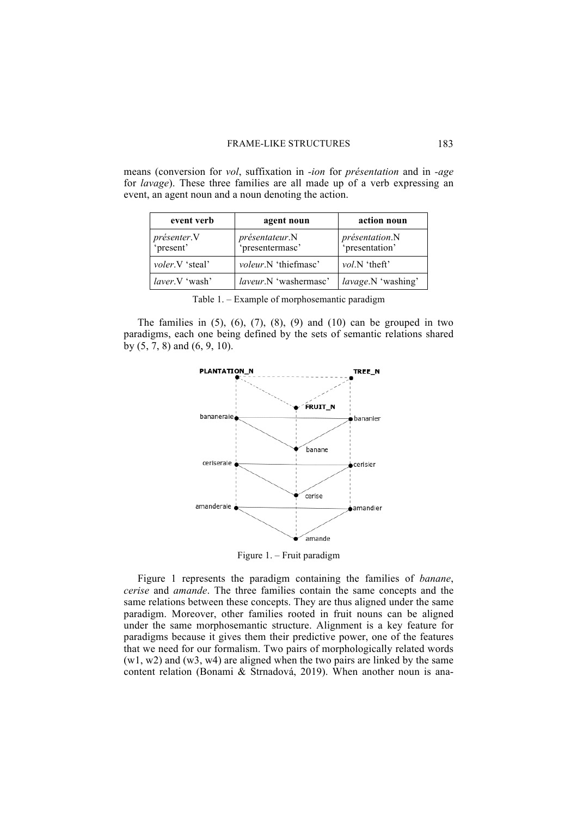means (conversion for *vol*, suffixation in *-ion* for *présentation* and in *-age* for *lavage*). These three families are all made up of a verb expressing an event, an agent noun and a noun denoting the action.

| event verb               | agent noun                        | action noun                      |
|--------------------------|-----------------------------------|----------------------------------|
| présenter.V<br>'present' | présentateur.N<br>'presentermasc' | présentation.N<br>'presentation' |
| <i>voler.</i> V 'steal'  | <i>voleur.N</i> 'thiefmasc'       | <i>vol.N</i> 'theft'             |
| <i>laver</i> .V 'wash'   | laveur.N 'washermasc'             | lavage.N 'washing'               |

|  | Table 1. – Example of morphosemantic paradigm |  |  |  |  |
|--|-----------------------------------------------|--|--|--|--|
|  |                                               |  |  |  |  |

The families in  $(5)$ ,  $(6)$ ,  $(7)$ ,  $(8)$ ,  $(9)$  and  $(10)$  can be grouped in two paradigms, each one being defined by the sets of semantic relations shared by (5, 7, 8) and (6, 9, 10).



Figure 1. – Fruit paradigm

Figure 1 represents the paradigm containing the families of *banane*, *cerise* and *amande*. The three families contain the same concepts and the same relations between these concepts. They are thus aligned under the same paradigm. Moreover, other families rooted in fruit nouns can be aligned under the same morphosemantic structure. Alignment is a key feature for paradigms because it gives them their predictive power, one of the features that we need for our formalism. Two pairs of morphologically related words (w1, w2) and (w3, w4) are aligned when the two pairs are linked by the same content relation (Bonami & Strnadová, 2019). When another noun is ana-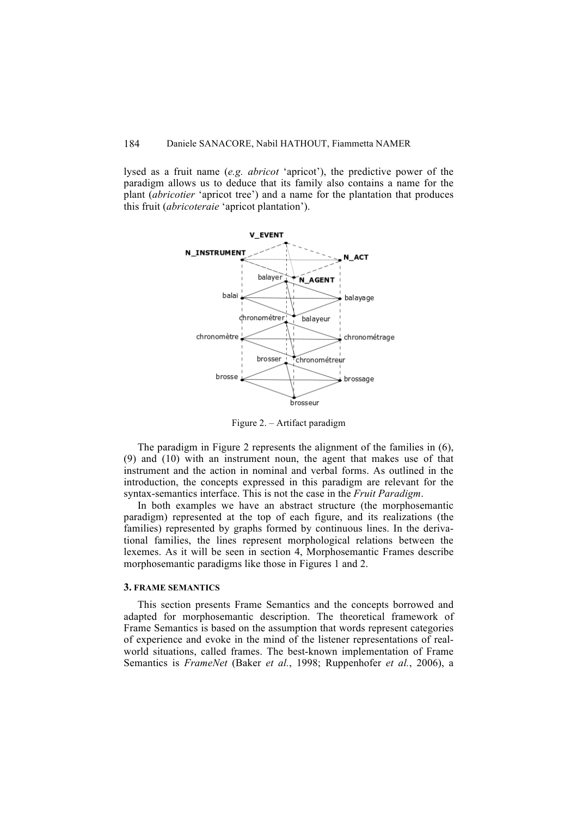lysed as a fruit name (*e.g. abricot* 'apricot'), the predictive power of the paradigm allows us to deduce that its family also contains a name for the plant (*abricotier* 'apricot tree') and a name for the plantation that produces this fruit (*abricoteraie* 'apricot plantation').



Figure 2. – Artifact paradigm

The paradigm in Figure 2 represents the alignment of the families in  $(6)$ , (9) and (10) with an instrument noun, the agent that makes use of that instrument and the action in nominal and verbal forms. As outlined in the introduction, the concepts expressed in this paradigm are relevant for the syntax-semantics interface. This is not the case in the *Fruit Paradigm*.

In both examples we have an abstract structure (the morphosemantic paradigm) represented at the top of each figure, and its realizations (the families) represented by graphs formed by continuous lines. In the derivational families, the lines represent morphological relations between the lexemes. As it will be seen in section 4, Morphosemantic Frames describe morphosemantic paradigms like those in Figures 1 and 2.

### **3. FRAME SEMANTICS**

This section presents Frame Semantics and the concepts borrowed and adapted for morphosemantic description. The theoretical framework of Frame Semantics is based on the assumption that words represent categories of experience and evoke in the mind of the listener representations of realworld situations, called frames. The best-known implementation of Frame Semantics is *FrameNet* (Baker *et al.*, 1998; Ruppenhofer *et al.*, 2006), a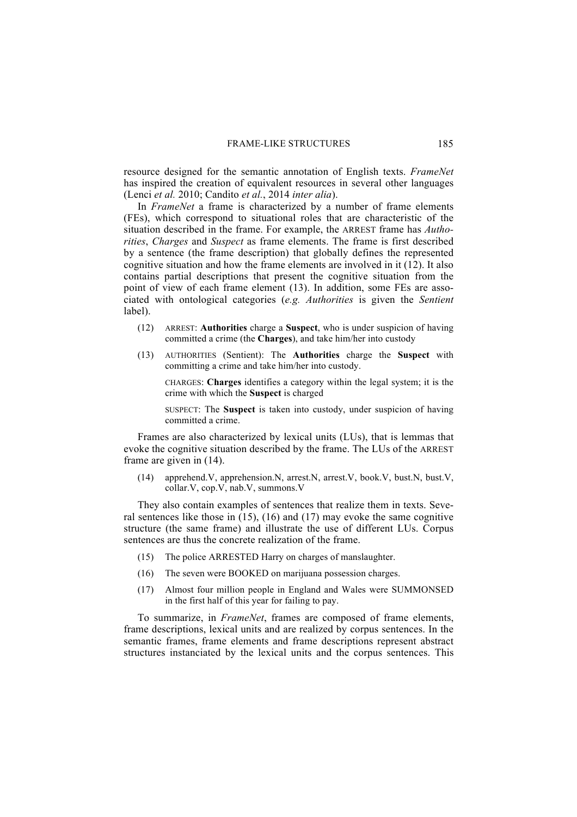resource designed for the semantic annotation of English texts. *FrameNet* has inspired the creation of equivalent resources in several other languages (Lenci *et al.* 2010; Candito *et al.*, 2014 *inter alia*).

In *FrameNet* a frame is characterized by a number of frame elements (FEs), which correspond to situational roles that are characteristic of the situation described in the frame. For example, the ARREST frame has *Authorities*, *Charges* and *Suspect* as frame elements. The frame is first described by a sentence (the frame description) that globally defines the represented cognitive situation and how the frame elements are involved in it (12). It also contains partial descriptions that present the cognitive situation from the point of view of each frame element (13). In addition, some FEs are associated with ontological categories (*e.g. Authorities* is given the *Sentient* label).

- (12) ARREST: **Authorities** charge a **Suspect**, who is under suspicion of having committed a crime (the **Charges**), and take him/her into custody
- (13) AUTHORITIES (Sentient): The **Authorities** charge the **Suspect** with committing a crime and take him/her into custody.

CHARGES: **Charges** identifies a category within the legal system; it is the crime with which the **Suspect** is charged

SUSPECT: The **Suspect** is taken into custody, under suspicion of having committed a crime.

Frames are also characterized by lexical units (LUs), that is lemmas that evoke the cognitive situation described by the frame. The LUs of the ARREST frame are given in (14).

(14) apprehend.V, apprehension.N, arrest.N, arrest.V, book.V, bust.N, bust.V, collar.V, cop.V, nab.V, summons.V

They also contain examples of sentences that realize them in texts. Several sentences like those in  $(15)$ ,  $(16)$  and  $(17)$  may evoke the same cognitive structure (the same frame) and illustrate the use of different LUs. Corpus sentences are thus the concrete realization of the frame.

- (15) The police ARRESTED Harry on charges of manslaughter.
- (16) The seven were BOOKED on marijuana possession charges.
- (17) Almost four million people in England and Wales were SUMMONSED in the first half of this year for failing to pay.

To summarize, in *FrameNet*, frames are composed of frame elements, frame descriptions, lexical units and are realized by corpus sentences. In the semantic frames, frame elements and frame descriptions represent abstract structures instanciated by the lexical units and the corpus sentences. This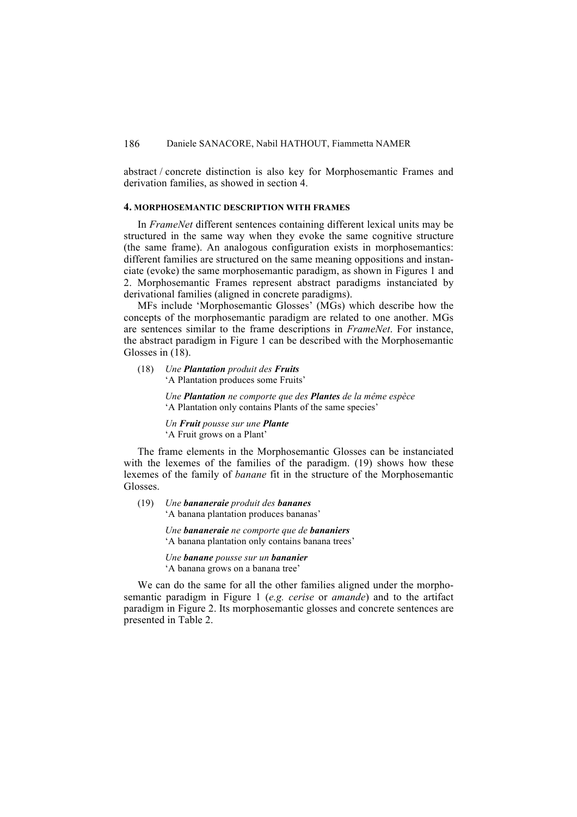abstract / concrete distinction is also key for Morphosemantic Frames and derivation families, as showed in section 4.

# **4. MORPHOSEMANTIC DESCRIPTION WITH FRAMES**

In *FrameNet* different sentences containing different lexical units may be structured in the same way when they evoke the same cognitive structure (the same frame). An analogous configuration exists in morphosemantics: different families are structured on the same meaning oppositions and instanciate (evoke) the same morphosemantic paradigm, as shown in Figures 1 and 2. Morphosemantic Frames represent abstract paradigms instanciated by derivational families (aligned in concrete paradigms).

MFs include 'Morphosemantic Glosses' (MGs) which describe how the concepts of the morphosemantic paradigm are related to one another. MGs are sentences similar to the frame descriptions in *FrameNet*. For instance, the abstract paradigm in Figure 1 can be described with the Morphosemantic Glosses in (18).

(18) *Une Plantation produit des Fruits* 'A Plantation produces some Fruits'

> *Une Plantation ne comporte que des Plantes de la même espèce* 'A Plantation only contains Plants of the same species'

*Un Fruit pousse sur une Plante* 'A Fruit grows on a Plant'

The frame elements in the Morphosemantic Glosses can be instanciated with the lexemes of the families of the paradigm. (19) shows how these lexemes of the family of *banane* fit in the structure of the Morphosemantic Glosses.

(19) *Une bananeraie produit des bananes* 'A banana plantation produces bananas'

> *Une bananeraie ne comporte que de bananiers* 'A banana plantation only contains banana trees'

*Une banane pousse sur un bananier* 'A banana grows on a banana tree'

We can do the same for all the other families aligned under the morphosemantic paradigm in Figure 1 (*e.g. cerise* or *amande*) and to the artifact paradigm in Figure 2. Its morphosemantic glosses and concrete sentences are presented in Table 2.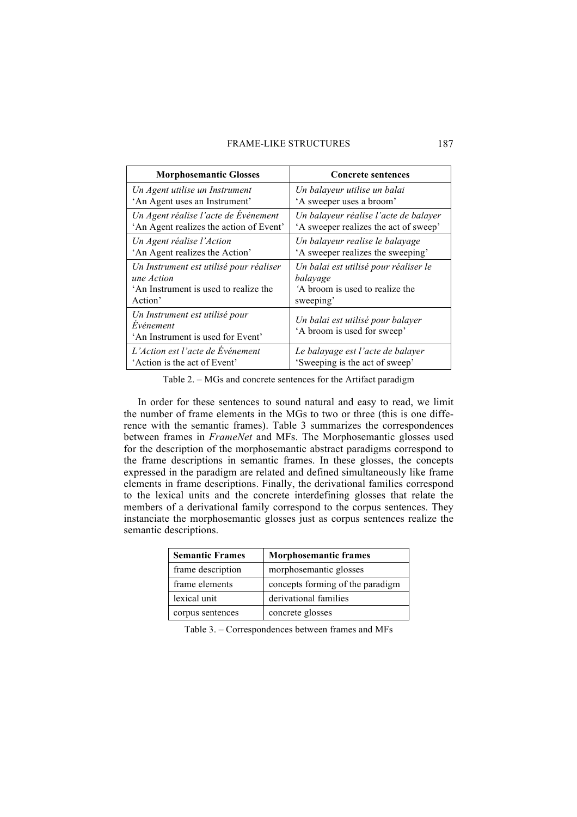## FRAME-LIKE STRUCTURES 187

| <b>Morphosemantic Glosses</b>                                                    | <b>Concrete sentences</b>                                        |
|----------------------------------------------------------------------------------|------------------------------------------------------------------|
| Un Agent utilise un Instrument                                                   | Un balayeur utilise un balai                                     |
| 'An Agent uses an Instrument'                                                    | 'A sweeper uses a broom'                                         |
| Un Agent réalise l'acte de Evénement                                             | Un balayeur réalise l'acte de balayer                            |
| 'An Agent realizes the action of Event'                                          | 'A sweeper realizes the act of sweep'                            |
| Un Agent réalise l'Action                                                        | Un balayeur realise le balayage                                  |
| 'An Agent realizes the Action'                                                   | 'A sweeper realizes the sweeping'                                |
| Un Instrument est utilisé pour réaliser                                          | Un balai est utilisé pour réaliser le                            |
| une Action                                                                       | balayage                                                         |
| 'An Instrument is used to realize the                                            | A broom is used to realize the                                   |
| Action'                                                                          | sweeping'                                                        |
| Un Instrument est utilisé pour<br>Evénement<br>'An Instrument is used for Event' | Un balai est utilisé pour balayer<br>'A broom is used for sweep' |
| L'Action est l'acte de Événement                                                 | Le balayage est l'acte de balayer                                |
| 'Action is the act of Event'                                                     | 'Sweeping is the act of sweep'                                   |

Table 2. – MGs and concrete sentences for the Artifact paradigm

In order for these sentences to sound natural and easy to read, we limit the number of frame elements in the MGs to two or three (this is one difference with the semantic frames). Table 3 summarizes the correspondences between frames in *FrameNet* and MFs. The Morphosemantic glosses used for the description of the morphosemantic abstract paradigms correspond to the frame descriptions in semantic frames. In these glosses, the concepts expressed in the paradigm are related and defined simultaneously like frame elements in frame descriptions. Finally, the derivational families correspond to the lexical units and the concrete interdefining glosses that relate the members of a derivational family correspond to the corpus sentences. They instanciate the morphosemantic glosses just as corpus sentences realize the semantic descriptions.

| <b>Semantic Frames</b> | <b>Morphosemantic frames</b>     |
|------------------------|----------------------------------|
| frame description      | morphosemantic glosses           |
| frame elements         | concepts forming of the paradigm |
| lexical unit           | derivational families            |
| corpus sentences       | concrete glosses                 |

Table 3. – Correspondences between frames and MFs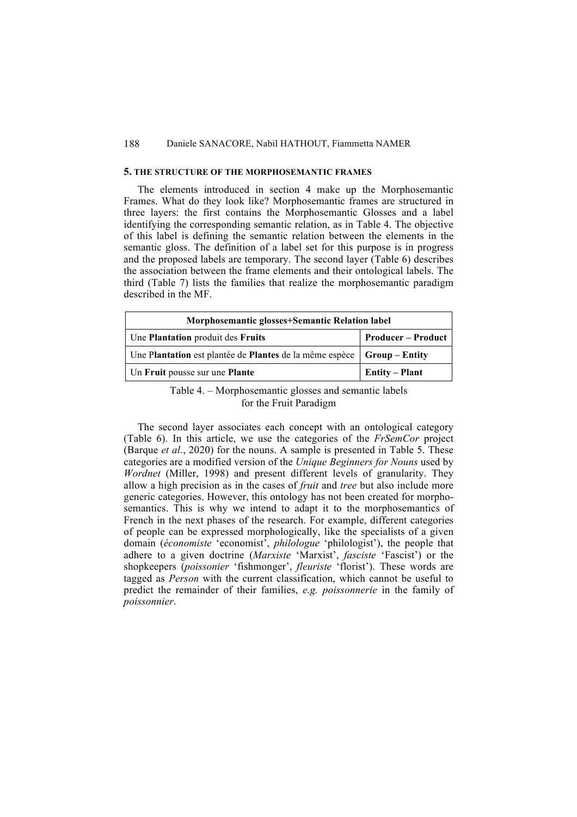## **5. THE STRUCTURE OF THE MORPHOSEMANTIC FRAMES**

The elements introduced in section 4 make up the Morphosemantic Frames. What do they look like? Morphosemantic frames are structured in three layers: the first contains the Morphosemantic Glosses and a label identifying the corresponding semantic relation, as in Table 4. The objective of this label is defining the semantic relation between the elements in the semantic gloss. The definition of a label set for this purpose is in progress and the proposed labels are temporary. The second layer (Table 6) describes the association between the frame elements and their ontological labels. The third (Table 7) lists the families that realize the morphosemantic paradigm described in the MF.

| Morphosemantic glosses+Semantic Relation label                           |                       |  |  |  |
|--------------------------------------------------------------------------|-----------------------|--|--|--|
| <b>Producer – Product</b><br>Une Plantation produit des Fruits           |                       |  |  |  |
| Une Plantation est plantée de Plantes de la même espèce   Group – Entity |                       |  |  |  |
| Un Fruit pousse sur une Plante                                           | <b>Entity – Plant</b> |  |  |  |

# Table 4. – Morphosemantic glosses and semantic labels for the Fruit Paradigm

The second layer associates each concept with an ontological category (Table 6). In this article, we use the categories of the *FrSemCor* project (Barque *et al.*, 2020) for the nouns. A sample is presented in Table 5. These categories are a modified version of the *Unique Beginners for Nouns* used by *Wordnet* (Miller, 1998) and present different levels of granularity. They allow a high precision as in the cases of *fruit* and *tree* but also include more generic categories. However, this ontology has not been created for morphosemantics. This is why we intend to adapt it to the morphosemantics of French in the next phases of the research. For example, different categories of people can be expressed morphologically, like the specialists of a given domain (*économiste* 'economist', *philologue* 'philologist'), the people that adhere to a given doctrine (*Marxiste* 'Marxist', *fasciste* 'Fascist') or the shopkeepers (*poissonier* 'fishmonger', *fleuriste* 'florist'). These words are tagged as *Person* with the current classification, which cannot be useful to predict the remainder of their families, *e.g. poissonnerie* in the family of *poissonnier*.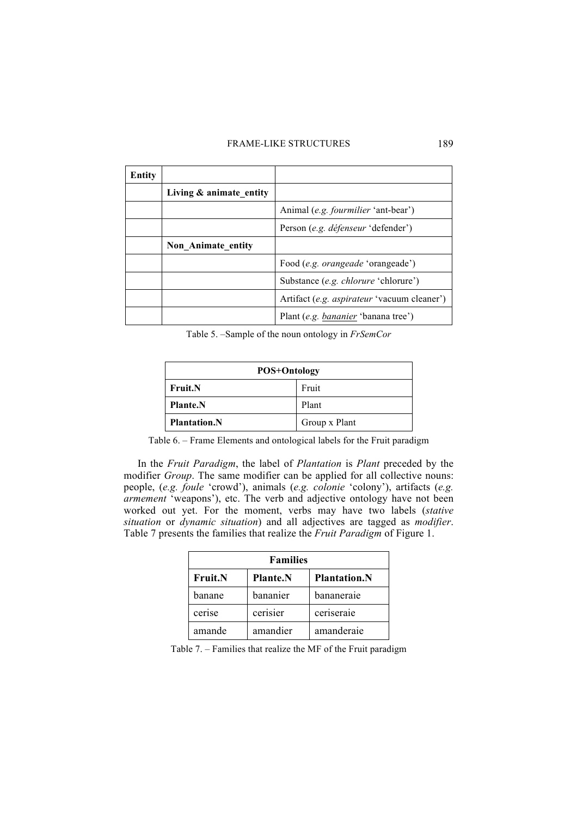## FRAME-LIKE STRUCTURES 189

| Entity |                            |                                                    |
|--------|----------------------------|----------------------------------------------------|
|        | Living $\&$ animate entity |                                                    |
|        |                            | Animal (e.g. fourmilier 'ant-bear')                |
|        |                            | Person (e.g. <i>défenseur</i> 'defender')          |
|        | Non Animate entity         |                                                    |
|        |                            | Food (e.g. <i>orangeade</i> 'orangeade')           |
|        |                            | Substance (e.g. chlorure 'chlorure')               |
|        |                            | Artifact (e.g. <i>aspirateur</i> 'vacuum cleaner') |
|        |                            | Plant (e.g. <i>bananier</i> 'banana tree')         |

Table 5. –Sample of the noun ontology in *FrSemCor*

| <b>POS+Ontology</b>     |               |  |  |  |  |
|-------------------------|---------------|--|--|--|--|
| Fruit<br><b>Fruit.N</b> |               |  |  |  |  |
| <b>Plante.N</b>         | Plant         |  |  |  |  |
| <b>Plantation.N</b>     | Group x Plant |  |  |  |  |

Table 6. – Frame Elements and ontological labels for the Fruit paradigm

In the *Fruit Paradigm*, the label of *Plantation* is *Plant* preceded by the modifier *Group*. The same modifier can be applied for all collective nouns: people, (*e.g. foule* 'crowd'), animals (*e.g. colonie* 'colony'), artifacts (*e.g. armement* 'weapons'), etc. The verb and adjective ontology have not been worked out yet. For the moment, verbs may have two labels (*stative situation* or *dynamic situation*) and all adjectives are tagged as *modifier*. Table 7 presents the families that realize the *Fruit Paradigm* of Figure 1.

| <b>Families</b> |                 |                     |  |  |  |
|-----------------|-----------------|---------------------|--|--|--|
| <b>Fruit.N</b>  | <b>Plante.N</b> | <b>Plantation.N</b> |  |  |  |
| banane          | bananier        | bananeraie          |  |  |  |
| cerise          | cerisier        | ceriseraie          |  |  |  |
| amande          | amandier        | amanderaie          |  |  |  |

Table 7. – Families that realize the MF of the Fruit paradigm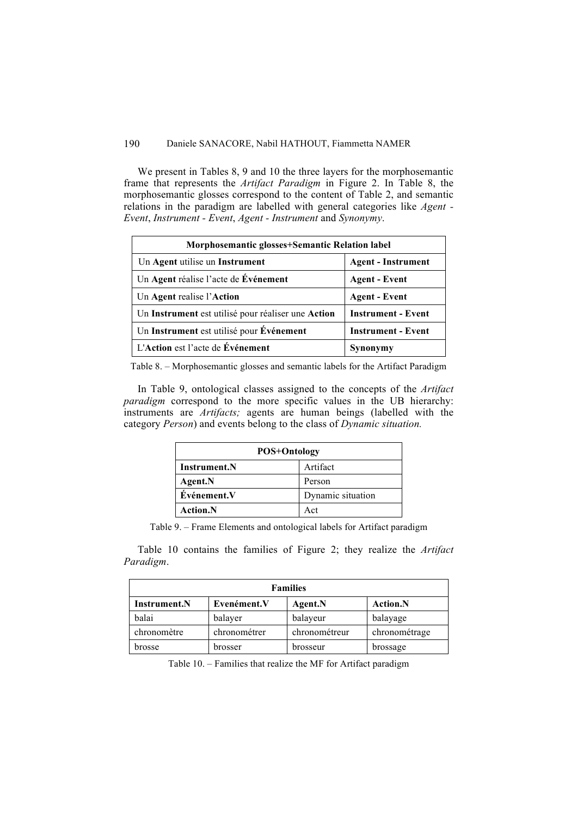We present in Tables 8, 9 and 10 the three layers for the morphosemantic frame that represents the *Artifact Paradigm* in Figure 2. In Table 8, the morphosemantic glosses correspond to the content of Table 2, and semantic relations in the paradigm are labelled with general categories like *Agent - Event*, *Instrument - Event*, *Agent - Instrument* and *Synonymy*.

| Morphosemantic glosses+Semantic Relation label     |                           |  |  |  |
|----------------------------------------------------|---------------------------|--|--|--|
| Un Agent utilise un Instrument                     | <b>Agent - Instrument</b> |  |  |  |
| Un Agent réalise l'acte de Événement               | <b>Agent</b> - Event      |  |  |  |
| Un Agent realise l'Action                          | <b>Agent - Event</b>      |  |  |  |
| Un Instrument est utilisé pour réaliser une Action | <b>Instrument - Event</b> |  |  |  |
| Un Instrument est utilisé pour Événement           | <b>Instrument - Event</b> |  |  |  |
| L'Action est l'acte de Événement                   | Synonymy                  |  |  |  |

Table 8. – Morphosemantic glosses and semantic labels for the Artifact Paradigm

In Table 9, ontological classes assigned to the concepts of the *Artifact paradigm* correspond to the more specific values in the UB hierarchy: instruments are *Artifacts;* agents are human beings (labelled with the category *Person*) and events belong to the class of *Dynamic situation.*

| <b>POS+Ontology</b>      |                   |  |  |
|--------------------------|-------------------|--|--|
| Artifact<br>Instrument.N |                   |  |  |
| Agent.N                  | Person            |  |  |
| Événement.V              | Dynamic situation |  |  |
| <b>Action.N</b>          | Act               |  |  |

Table 9. – Frame Elements and ontological labels for Artifact paradigm

Table 10 contains the families of Figure 2; they realize the *Artifact Paradigm*.

| <b>Families</b>                                                  |              |               |               |  |  |  |
|------------------------------------------------------------------|--------------|---------------|---------------|--|--|--|
| Evenément.V<br><b>Action.N</b><br><b>Instrument.N</b><br>Agent.N |              |               |               |  |  |  |
| balai                                                            | balayer      | balayeur      | balayage      |  |  |  |
| chronomètre                                                      | chronométrer | chronométreur | chronométrage |  |  |  |
| brosse                                                           | brosser      | brosseur      | brossage      |  |  |  |

Table 10. – Families that realize the MF for Artifact paradigm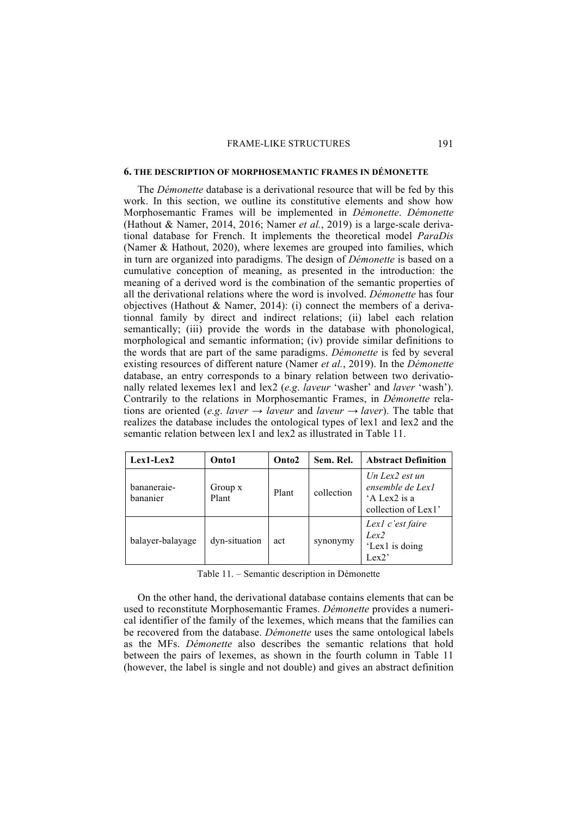#### FRAME-LIKE STRUCTURES 191

### **6. THE DESCRIPTION OF MORPHOSEMANTIC FRAMES IN DÉMONETTE**

The *Démonette* database is a derivational resource that will be fed by this work. In this section, we outline its constitutive elements and show how Morphosemantic Frames will be implemented in *Démonette*. *Démonette* (Hathout & Namer, 2014, 2016; Namer *et al.*, 2019) is a large-scale derivational database for French. It implements the theoretical model *ParaDis* (Namer & Hathout, 2020), where lexemes are grouped into families, which in turn are organized into paradigms. The design of *Démonette* is based on a cumulative conception of meaning, as presented in the introduction: the meaning of a derived word is the combination of the semantic properties of all the derivational relations where the word is involved. *Démonette* has four objectives (Hathout & Namer, 2014): (i) connect the members of a derivationnal family by direct and indirect relations; (ii) label each relation semantically; (iii) provide the words in the database with phonological, morphological and semantic information; (iv) provide similar definitions to the words that are part of the same paradigms. *Démonette* is fed by several existing resources of different nature (Namer *et al.*, 2019). In the *Démonette* database, an entry corresponds to a binary relation between two derivationally related lexemes lex1 and lex2 (*e.g*. *laveur* 'washer' and *laver* 'wash'). Contrarily to the relations in Morphosemantic Frames, in *Démonette* relations are oriented (*e.g. laver*  $\rightarrow$  *laveur* and *laveur*  $\rightarrow$  *laver*). The table that realizes the database includes the ontological types of lex1 and lex2 and the semantic relation between lex1 and lex2 as illustrated in Table 11.

| $Lex1-Lex2$             | Onto1            | Onto <sub>2</sub> | Sem. Rel.  | <b>Abstract Definition</b>                                                               |
|-------------------------|------------------|-------------------|------------|------------------------------------------------------------------------------------------|
| bananeraie-<br>bananier | Group x<br>Plant | Plant             | collection | Un Lex $2$ est un<br>ensemble de Lex <sub>1</sub><br>'A Lex2 is a<br>collection of Lex1' |
| balayer-balayage        | dyn-situation    | act               | synonymy   | Lex1 c'est faire<br>Lex2<br>'Lex1 is doing<br>Lex2'                                      |

Table 11. – Semantic description in Démonette

On the other hand, the derivational database contains elements that can be used to reconstitute Morphosemantic Frames. *Démonette* provides a numerical identifier of the family of the lexemes, which means that the families can be recovered from the database. *Démonette* uses the same ontological labels as the MFs. *Démonette* also describes the semantic relations that hold between the pairs of lexemes, as shown in the fourth column in Table 11 (however, the label is single and not double) and gives an abstract definition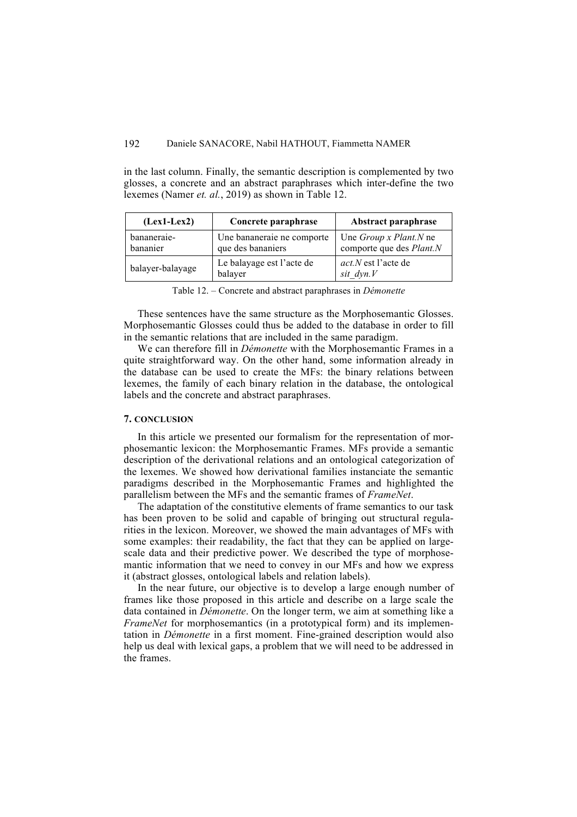in the last column. Finally, the semantic description is complemented by two glosses, a concrete and an abstract paraphrases which inter-define the two lexemes (Namer *et. al.*, 2019) as shown in Table 12.

| $(Lex1-Lex2)$           | Concrete paraphrase                             | Abstract paraphrase                                       |
|-------------------------|-------------------------------------------------|-----------------------------------------------------------|
| bananeraie-<br>bananier | Une bananeraie ne comporte<br>que des bananiers | Une <i>Group x Plant.N</i> ne<br>comporte que des Plant.N |
| balayer-balayage        | Le balayage est l'acte de<br>balayer            | <i>act.N</i> est l'acte de<br>sit $dyn.V$                 |

Table 12. – Concrete and abstract paraphrases in *Démonette*

These sentences have the same structure as the Morphosemantic Glosses. Morphosemantic Glosses could thus be added to the database in order to fill in the semantic relations that are included in the same paradigm.

We can therefore fill in *Démonette* with the Morphosemantic Frames in a quite straightforward way. On the other hand, some information already in the database can be used to create the MFs: the binary relations between lexemes, the family of each binary relation in the database, the ontological labels and the concrete and abstract paraphrases.

## **7. CONCLUSION**

In this article we presented our formalism for the representation of morphosemantic lexicon: the Morphosemantic Frames. MFs provide a semantic description of the derivational relations and an ontological categorization of the lexemes. We showed how derivational families instanciate the semantic paradigms described in the Morphosemantic Frames and highlighted the parallelism between the MFs and the semantic frames of *FrameNet*.

The adaptation of the constitutive elements of frame semantics to our task has been proven to be solid and capable of bringing out structural regularities in the lexicon. Moreover, we showed the main advantages of MFs with some examples: their readability, the fact that they can be applied on largescale data and their predictive power. We described the type of morphosemantic information that we need to convey in our MFs and how we express it (abstract glosses, ontological labels and relation labels).

In the near future, our objective is to develop a large enough number of frames like those proposed in this article and describe on a large scale the data contained in *Démonette*. On the longer term, we aim at something like a *FrameNet* for morphosemantics (in a prototypical form) and its implementation in *Démonette* in a first moment. Fine-grained description would also help us deal with lexical gaps, a problem that we will need to be addressed in the frames.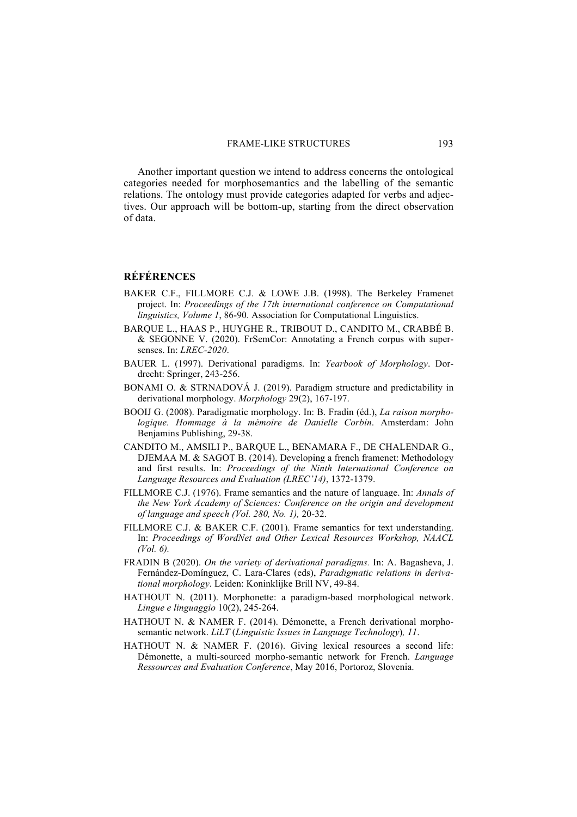Another important question we intend to address concerns the ontological categories needed for morphosemantics and the labelling of the semantic relations. The ontology must provide categories adapted for verbs and adjectives. Our approach will be bottom-up, starting from the direct observation of data.

# **RÉFÉRENCES**

- BAKER C.F., FILLMORE C.J. & LOWE J.B. (1998). The Berkeley Framenet project. In: *Proceedings of the 17th international conference on Computational linguistics, Volume 1*, 86-90*.* Association for Computational Linguistics.
- BARQUE L., HAAS P., HUYGHE R., TRIBOUT D., CANDITO M., CRABBÉ B. & SEGONNE V. (2020). FrSemCor: Annotating a French corpus with supersenses. In: *LREC-2020*.
- BAUER L. (1997). Derivational paradigms. In: *Yearbook of Morphology*. Dordrecht: Springer, 243-256.
- BONAMI O. & STRNADOVÁ J. (2019). Paradigm structure and predictability in derivational morphology. *Morphology* 29(2), 167-197.
- BOOIJ G. (2008). Paradigmatic morphology. In: B. Fradin (éd.), *La raison morphologique. Hommage à la mémoire de Danielle Corbin*. Amsterdam: John Benjamins Publishing, 29-38.
- CANDITO M., AMSILI P., BARQUE L., BENAMARA F., DE CHALENDAR G., DJEMAA M. & SAGOT B. (2014). Developing a french framenet: Methodology and first results. In: *Proceedings of the Ninth International Conference on Language Resources and Evaluation (LREC'14)*, 1372-1379.
- FILLMORE C.J. (1976). Frame semantics and the nature of language. In: *Annals of the New York Academy of Sciences: Conference on the origin and development of language and speech (Vol. 280, No. 1),* 20-32.
- FILLMORE C.J. & BAKER C.F. (2001). Frame semantics for text understanding. In: *Proceedings of WordNet and Other Lexical Resources Workshop, NAACL (Vol. 6).*
- FRADIN B (2020). *On the variety of derivational paradigms.* In: A. Bagasheva, J. Fernández-Domínguez, C. Lara-Clares (eds), *Paradigmatic relations in derivational morphology*. Leiden: Koninklijke Brill NV, 49-84.
- HATHOUT N. (2011). Morphonette: a paradigm-based morphological network. *Lingue e linguaggio* 10(2), 245-264.
- HATHOUT N. & NAMER F. (2014). Démonette, a French derivational morphosemantic network. *LiLT* (*Linguistic Issues in Language Technology*)*, 11*.
- HATHOUT N. & NAMER F. (2016). Giving lexical resources a second life: Démonette, a multi-sourced morpho-semantic network for French. *Language Ressources and Evaluation Conference*, May 2016, Portoroz, Slovenia.